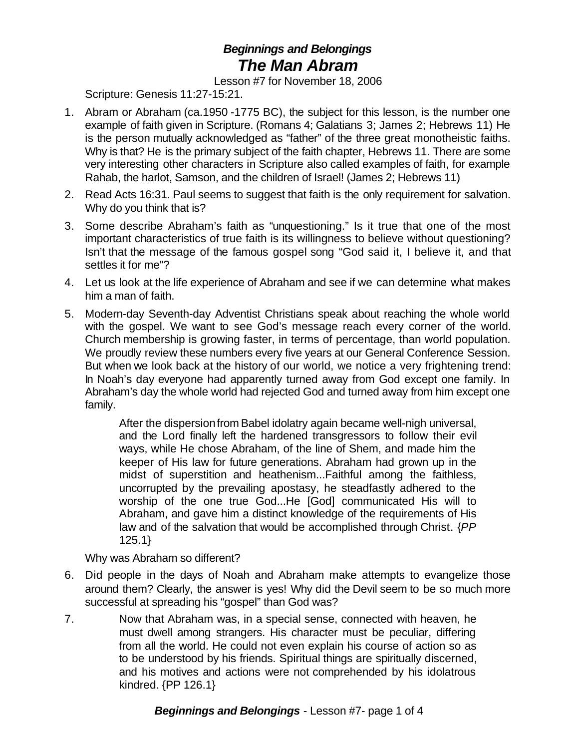## *Beginnings and Belongings The Man Abram*

Lesson #7 for November 18, 2006

Scripture: Genesis 11:27-15:21.

- 1. Abram or Abraham (ca.1950 -1775 BC), the subject for this lesson, is the number one example of faith given in Scripture. (Romans 4; Galatians 3; James 2; Hebrews 11) He is the person mutually acknowledged as "father" of the three great monotheistic faiths. Why is that? He is the primary subject of the faith chapter, Hebrews 11. There are some very interesting other characters in Scripture also called examples of faith, for example Rahab, the harlot, Samson, and the children of Israel! (James 2; Hebrews 11)
- 2. Read Acts 16:31. Paul seems to suggest that faith is the only requirement for salvation. Why do you think that is?
- 3. Some describe Abraham's faith as "unquestioning." Is it true that one of the most important characteristics of true faith is its willingness to believe without questioning? Isn't that the message of the famous gospel song "God said it, I believe it, and that settles it for me"?
- 4. Let us look at the life experience of Abraham and see if we can determine what makes him a man of faith.
- 5. Modern-day Seventh-day Adventist Christians speak about reaching the whole world with the gospel. We want to see God's message reach every corner of the world. Church membership is growing faster, in terms of percentage, than world population. We proudly review these numbers every five years at our General Conference Session. But when we look back at the history of our world, we notice a very frightening trend: In Noah's day everyone had apparently turned away from God except one family. In Abraham's day the whole world had rejected God and turned away from him except one family.

After the dispersion from Babel idolatry again became well-nigh universal, and the Lord finally left the hardened transgressors to follow their evil ways, while He chose Abraham, of the line of Shem, and made him the keeper of His law for future generations. Abraham had grown up in the midst of superstition and heathenism...Faithful among the faithless, uncorrupted by the prevailing apostasy, he steadfastly adhered to the worship of the one true God...He [God] communicated His will to Abraham, and gave him a distinct knowledge of the requirements of His law and of the salvation that would be accomplished through Christ. {*PP* 125.1}

Why was Abraham so different?

- 6. Did people in the days of Noah and Abraham make attempts to evangelize those around them? Clearly, the answer is yes! Why did the Devil seem to be so much more successful at spreading his "gospel" than God was?
- 7. Now that Abraham was, in a special sense, connected with heaven, he must dwell among strangers. His character must be peculiar, differing from all the world. He could not even explain his course of action so as to be understood by his friends. Spiritual things are spiritually discerned, and his motives and actions were not comprehended by his idolatrous kindred. {PP 126.1}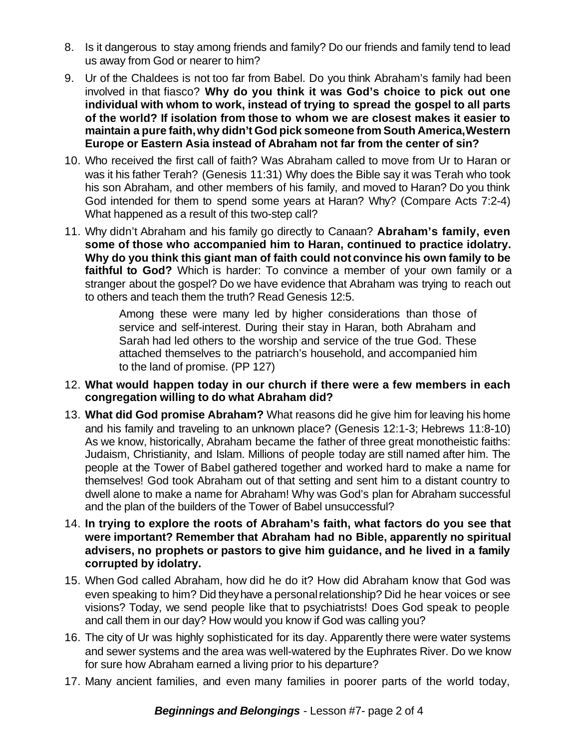- 8. Is it dangerous to stay among friends and family? Do our friends and family tend to lead us away from God or nearer to him?
- 9. Ur of the Chaldees is not too far from Babel. Do you think Abraham's family had been involved in that fiasco? **Why do you think it was God's choice to pick out one individual with whom to work, instead of trying to spread the gospel to all parts of the world? If isolation from those to whom we are closest makes it easier to maintain a pure faith,why didn't God pick someone from South America,Western Europe or Eastern Asia instead of Abraham not far from the center of sin?**
- 10. Who received the first call of faith? Was Abraham called to move from Ur to Haran or was it his father Terah? (Genesis 11:31) Why does the Bible say it was Terah who took his son Abraham, and other members of his family, and moved to Haran? Do you think God intended for them to spend some years at Haran? Why? (Compare Acts 7:2-4) What happened as a result of this two-step call?
- 11. Why didn't Abraham and his family go directly to Canaan? **Abraham's family, even some of those who accompanied him to Haran, continued to practice idolatry. Why do you think this giant man of faith could not convince his own family to be faithful to God?** Which is harder: To convince a member of your own family or a stranger about the gospel? Do we have evidence that Abraham was trying to reach out to others and teach them the truth? Read Genesis 12:5.

Among these were many led by higher considerations than those of service and self-interest. During their stay in Haran, both Abraham and Sarah had led others to the worship and service of the true God. These attached themselves to the patriarch's household, and accompanied him to the land of promise. (PP 127)

- 12. **What would happen today in our church if there were a few members in each congregation willing to do what Abraham did?**
- 13. **What did God promise Abraham?** What reasons did he give him for leaving his home and his family and traveling to an unknown place? (Genesis 12:1-3; Hebrews 11:8-10) As we know, historically, Abraham became the father of three great monotheistic faiths: Judaism, Christianity, and Islam. Millions of people today are still named after him. The people at the Tower of Babel gathered together and worked hard to make a name for themselves! God took Abraham out of that setting and sent him to a distant country to dwell alone to make a name for Abraham! Why was God's plan for Abraham successful and the plan of the builders of the Tower of Babel unsuccessful?
- 14. **In trying to explore the roots of Abraham's faith, what factors do you see that were important? Remember that Abraham had no Bible, apparently no spiritual advisers, no prophets or pastors to give him guidance, and he lived in a family corrupted by idolatry.**
- 15. When God called Abraham, how did he do it? How did Abraham know that God was even speaking to him? Did theyhave a personalrelationship? Did he hear voices or see visions? Today, we send people like that to psychiatrists! Does God speak to people and call them in our day? How would you know if God was calling you?
- 16. The city of Ur was highly sophisticated for its day. Apparently there were water systems and sewer systems and the area was well-watered by the Euphrates River. Do we know for sure how Abraham earned a living prior to his departure?
- 17. Many ancient families, and even many families in poorer parts of the world today,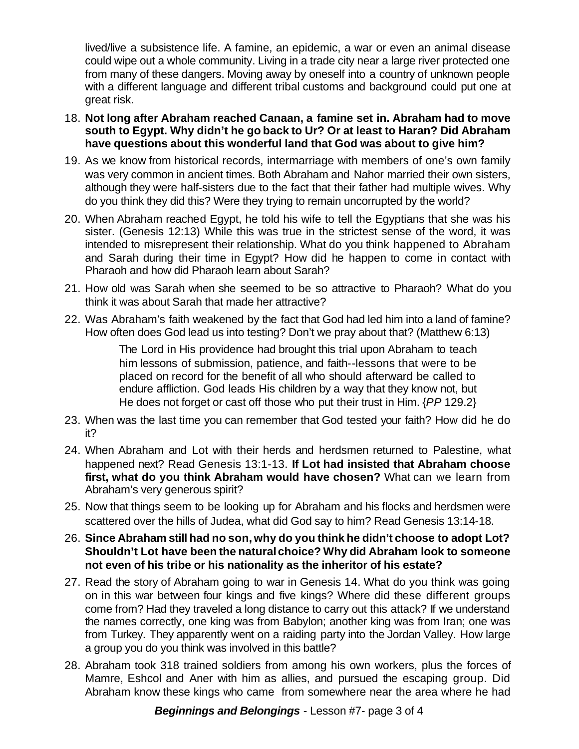lived/live a subsistence life. A famine, an epidemic, a war or even an animal disease could wipe out a whole community. Living in a trade city near a large river protected one from many of these dangers. Moving away by oneself into a country of unknown people with a different language and different tribal customs and background could put one at great risk.

- 18. **Not long after Abraham reached Canaan, a famine set in. Abraham had to move south to Egypt. Why didn't he go back to Ur? Or at least to Haran? Did Abraham have questions about this wonderful land that God was about to give him?**
- 19. As we know from historical records, intermarriage with members of one's own family was very common in ancient times. Both Abraham and Nahor married their own sisters, although they were half-sisters due to the fact that their father had multiple wives. Why do you think they did this? Were they trying to remain uncorrupted by the world?
- 20. When Abraham reached Egypt, he told his wife to tell the Egyptians that she was his sister. (Genesis 12:13) While this was true in the strictest sense of the word, it was intended to misrepresent their relationship. What do you think happened to Abraham and Sarah during their time in Egypt? How did he happen to come in contact with Pharaoh and how did Pharaoh learn about Sarah?
- 21. How old was Sarah when she seemed to be so attractive to Pharaoh? What do you think it was about Sarah that made her attractive?
- 22. Was Abraham's faith weakened by the fact that God had led him into a land of famine? How often does God lead us into testing? Don't we pray about that? (Matthew 6:13)

The Lord in His providence had brought this trial upon Abraham to teach him lessons of submission, patience, and faith--lessons that were to be placed on record for the benefit of all who should afterward be called to endure affliction. God leads His children by a way that they know not, but He does not forget or cast off those who put their trust in Him. {*PP* 129.2}

- 23. When was the last time you can remember that God tested your faith? How did he do it?
- 24. When Abraham and Lot with their herds and herdsmen returned to Palestine, what happened next? Read Genesis 13:1-13. **If Lot had insisted that Abraham choose first, what do you think Abraham would have chosen?** What can we learn from Abraham's very generous spirit?
- 25. Now that things seem to be looking up for Abraham and his flocks and herdsmen were scattered over the hills of Judea, what did God say to him? Read Genesis 13:14-18.
- 26. **Since Abraham still had no son,why do you think he didn't choose to adopt Lot? Shouldn't Lot have been the naturalchoice? Why did Abraham look to someone not even of his tribe or his nationality as the inheritor of his estate?**
- 27. Read the story of Abraham going to war in Genesis 14. What do you think was going on in this war between four kings and five kings? Where did these different groups come from? Had they traveled a long distance to carry out this attack? If we understand the names correctly, one king was from Babylon; another king was from Iran; one was from Turkey. They apparently went on a raiding party into the Jordan Valley. How large a group you do you think was involved in this battle?
- 28. Abraham took 318 trained soldiers from among his own workers, plus the forces of Mamre, Eshcol and Aner with him as allies, and pursued the escaping group. Did Abraham know these kings who came from somewhere near the area where he had